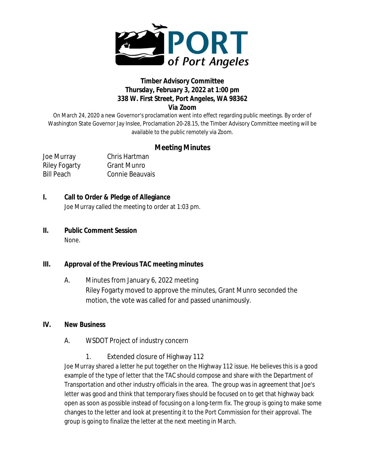

### **Timber Advisory Committee** *Thursday, February 3, 2022 at 1:00 pm 338 W. First Street, Port Angeles, WA 98362 Via Zoom*

On March 24, 2020 a new Governor's proclamation went into effect regarding public meetings. By order of Washington State Governor Jay Inslee, Proclamation 20-28.15, the Timber Advisory Committee meeting will be available to the public remotely via Zoom.

# **Meeting Minutes**

Joe Murray Chris Hartman

Riley Fogarty Grant Munro Bill Peach Connie Beauvais

### **I. Call to Order & Pledge of Allegiance**

Joe Murray called the meeting to order at 1:03 pm.

**II. Public Comment Session** None.

## **III. Approval of the Previous TAC meeting minutes**

A. Minutes from January 6, 2022 meeting Riley Fogarty moved to approve the minutes, Grant Munro seconded the motion, the vote was called for and passed unanimously.

#### **IV. New Business**

- A. WSDOT Project of industry concern
	- 1. Extended closure of Highway 112

Joe Murray shared a letter he put together on the Highway 112 issue. He believes this is a good example of the type of letter that the TAC should compose and share with the Department of Transportation and other industry officials in the area. The group was in agreement that Joe's letter was good and think that temporary fixes should be focused on to get that highway back open as soon as possible instead of focusing on a long-term fix. The group is going to make some changes to the letter and look at presenting it to the Port Commission for their approval. The group is going to finalize the letter at the next meeting in March.